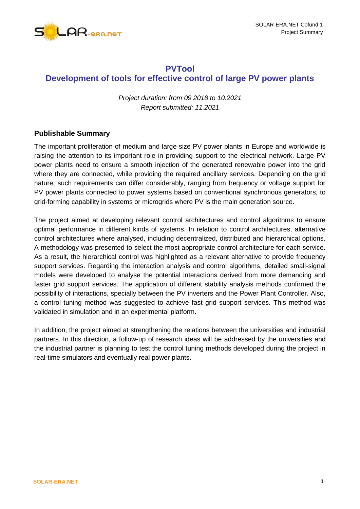

## **PVTool Development of tools for effective control of large PV power plants**

*Project duration: from 09.2018 to 10.2021 Report submitted: 11.2021*

## **Publishable Summary**

The important proliferation of medium and large size PV power plants in Europe and worldwide is raising the attention to its important role in providing support to the electrical network. Large PV power plants need to ensure a smooth injection of the generated renewable power into the grid where they are connected, while providing the required ancillary services. Depending on the grid nature, such requirements can differ considerably, ranging from frequency or voltage support for PV power plants connected to power systems based on conventional synchronous generators, to grid-forming capability in systems or microgrids where PV is the main generation source.

The project aimed at developing relevant control architectures and control algorithms to ensure optimal performance in different kinds of systems. In relation to control architectures, alternative control architectures where analysed, including decentralized, distributed and hierarchical options. A methodology was presented to select the most appropriate control architecture for each service. As a result, the hierarchical control was highlighted as a relevant alternative to provide frequency support services. Regarding the interaction analysis and control algorithms, detailed small-signal models were developed to analyse the potential interactions derived from more demanding and faster grid support services. The application of different stability analysis methods confirmed the possibility of interactions, specially between the PV inverters and the Power Plant Controller. Also, a control tuning method was suggested to achieve fast grid support services. This method was validated in simulation and in an experimental platform.

In addition, the project aimed at strengthening the relations between the universities and industrial partners. In this direction, a follow-up of research ideas will be addressed by the universities and the industrial partner is planning to test the control tuning methods developed during the project in real-time simulators and eventually real power plants.